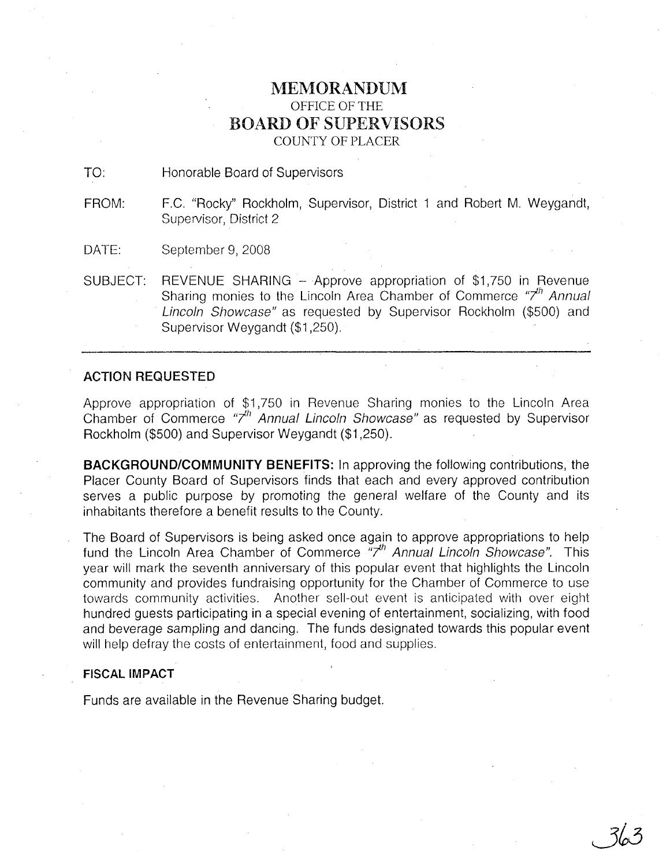# **MEMORANDUM** OFFICE OF THE BOARD OF SUPERVISORS COUNTY OF PLACER

TO: Honorable Board of Supervisors

FROM: F.C. "Rocky" Rockholm, Supervisor, District 1 and Robert M. Weygandt, Supervisor, District 2

DATE: September 9, 2008

SUBJECT: REVENUE SHARING - Approve appropriation of \$1,750 in Revenue Sharing monies to the Lincoln Area Chamber of Commerce "7<sup>th</sup> Annual Lincoln Showcase" as requested by Supervisor Rockholm (\$500) and Supervisor Weygandt (\$1,250).

## **ACTION REQUESTED**

Approve appropriation of \$1,750 in Revenue Sharing monies to the Lincoln Area Chamber of Commerce "7<sup>th</sup> Annual Lincoln Showcase" as requested by Supervisor Rockholm (\$500) and Supervisor Weygandt (\$1,250).

**BACKGROUND/COMMUNITY BENEFITS:** In approving the following contributions, the Placer County Board of Supervisors finds that each and every approved contribution serves a public purpose by promoting the general welfare of the County and its inhabitants therefore a benefit results to the County.

The Board of Supervisors is being asked once again to approve appropriations to help fund the Lincoln Area Chamber of Commerce  $\overline{r}$ <sup>th</sup> Annual Lincoln Showcase". This year will mark the seventh anniversary of this popular event that highlights the Lincoln community and provides fundraising opportunity for the Chamber of Commerce to use towards community activities. Another sell-out event is anticipated with over eight hundred guests participating in a special evening of entertainment, socializing, with food and beverage sampling and dancing. The funds designated towards this popular event will help defray the costs of entertainment, food and supplies.

## **FISCAL IMPACT**

Funds are available in the Revenue Sharing budget.